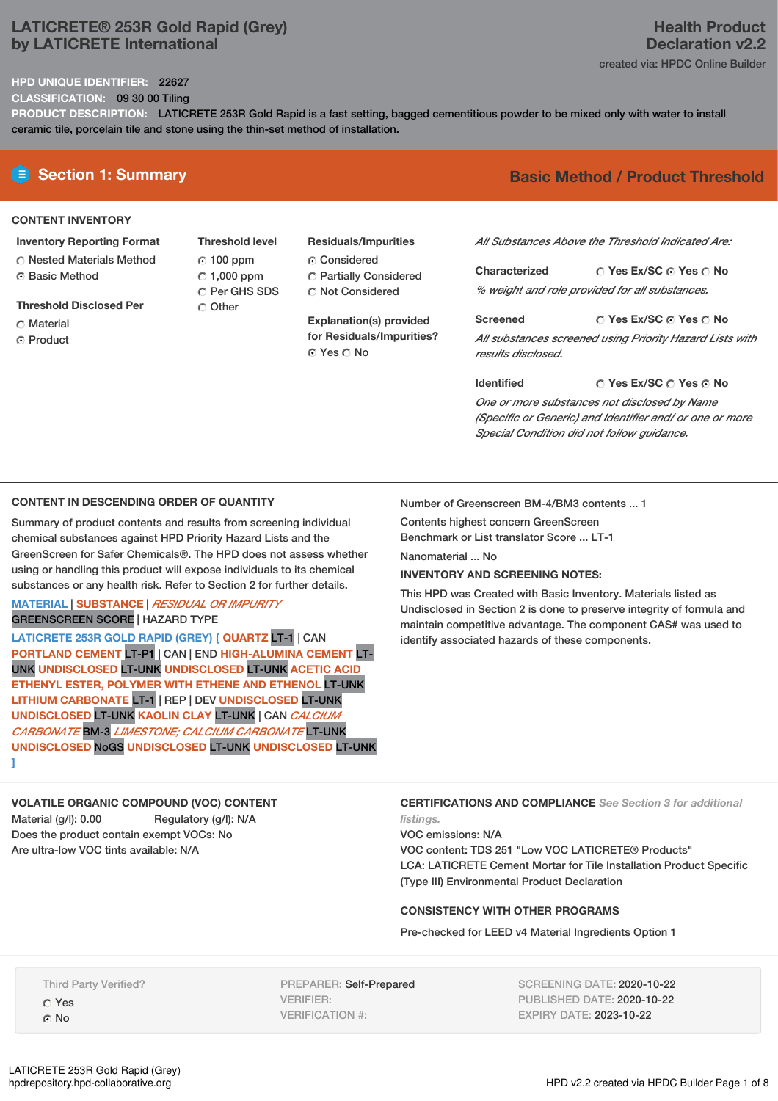## **LATICRETE® 253R Gold Rapid (Grey) by LATICRETE International**

## **Health Product Declaration v2.2** created via: HPDC Online Builder

### **HPD UNIQUE IDENTIFIER:** 22627

**CLASSIFICATION:** 09 30 00 Tiling

**PRODUCT DESCRIPTION:** LATICRETE 253R Gold Rapid is a fast setting, bagged cementitious powder to be mixed only with water to install ceramic tile, porcelain tile and stone using the thin-set method of installation.

## **CONTENT INVENTORY**

- **Inventory Reporting Format**
- Nested Materials Method **G** Basic Method
- **Threshold Disclosed Per**
- C Material
- **C** Product

**Threshold level** 100 ppm  $C$  1,000 ppm C Per GHS SDS C Other

**Residuals/Impurities** C Considered

- Partially Considered
- Not Considered

**Explanation(s) provided for Residuals/Impurities?** ⊙ Yes ∩ No

## **E** Section 1: Summary **Basic Method / Product Threshold**

*All Substances Above the Threshold Indicated Are:*

**Yes Ex/SC Yes No Characterized** *% weight and role provided for all substances.*

**Yes Ex/SC Yes No Screened** *All substances screened using Priority Hazard Lists with results disclosed.*

**Identified**

## **Yes Ex/SC Yes No**

*One or more substances not disclosed by Name (Specific or Generic) and Identifier and/ or one or more Special Condition did not follow guidance.*

## **CONTENT IN DESCENDING ORDER OF QUANTITY**

Summary of product contents and results from screening individual chemical substances against HPD Priority Hazard Lists and the GreenScreen for Safer Chemicals®. The HPD does not assess whether using or handling this product will expose individuals to its chemical substances or any health risk. Refer to Section 2 for further details.

## **MATERIAL** | **SUBSTANCE** | *RESIDUAL OR IMPURITY* GREENSCREEN SCORE | HAZARD TYPE

**LATICRETE 253R GOLD RAPID (GREY) [ QUARTZ** LT-1 | CAN **PORTLAND CEMENT** LT-P1 | CAN | END **HIGH-ALUMINA CEMENT** LT-UNK **UNDISCLOSED** LT-UNK **UNDISCLOSED** LT-UNK **ACETIC ACID ETHENYL ESTER, POLYMER WITH ETHENE AND ETHENOL** LT-UNK **LITHIUM CARBONATE** LT-1 | REP | DEV **UNDISCLOSED** LT-UNK **UNDISCLOSED** LT-UNK **KAOLIN CLAY** LT-UNK | CAN *CALCIUM CARBONATE* BM-3 *LIMESTONE; CALCIUM CARBONATE* LT-UNK **UNDISCLOSED** NoGS **UNDISCLOSED** LT-UNK **UNDISCLOSED** LT-UNK **]**

Number of Greenscreen BM-4/BM3 contents ... 1

Contents highest concern GreenScreen Benchmark or List translator Score ... LT-1 Nanomaterial ... No.

**INVENTORY AND SCREENING NOTES:**

This HPD was Created with Basic Inventory. Materials listed as Undisclosed in Section 2 is done to preserve integrity of formula and maintain competitive advantage. The component CAS# was used to identify associated hazards of these components.

### **VOLATILE ORGANIC COMPOUND (VOC) CONTENT** Material (g/l): 0.00 Regulatory (g/l): N/A Does the product contain exempt VOCs: No Are ultra-low VOC tints available: N/A

**CERTIFICATIONS AND COMPLIANCE** *See Section 3 for additional listings.*

VOC emissions: N/A

VOC content: TDS 251 "Low VOC LATICRETE® Products" LCA: LATICRETE Cement Mortar for Tile Installation Product Specific (Type III) Environmental Product Declaration

## **CONSISTENCY WITH OTHER PROGRAMS**

Pre-checked for LEED v4 Material Ingredients Option 1

Third Party Verified?

Yes © No

LATICRETE 253R Gold Rapid (Grey)<br>hpdrepository.hpd-collaborative.org

PREPARER: Self-Prepared VERIFIER: VERIFICATION #:

SCREENING DATE: 2020-10-22 PUBLISHED DATE: 2020-10-22 EXPIRY DATE: 2023-10-22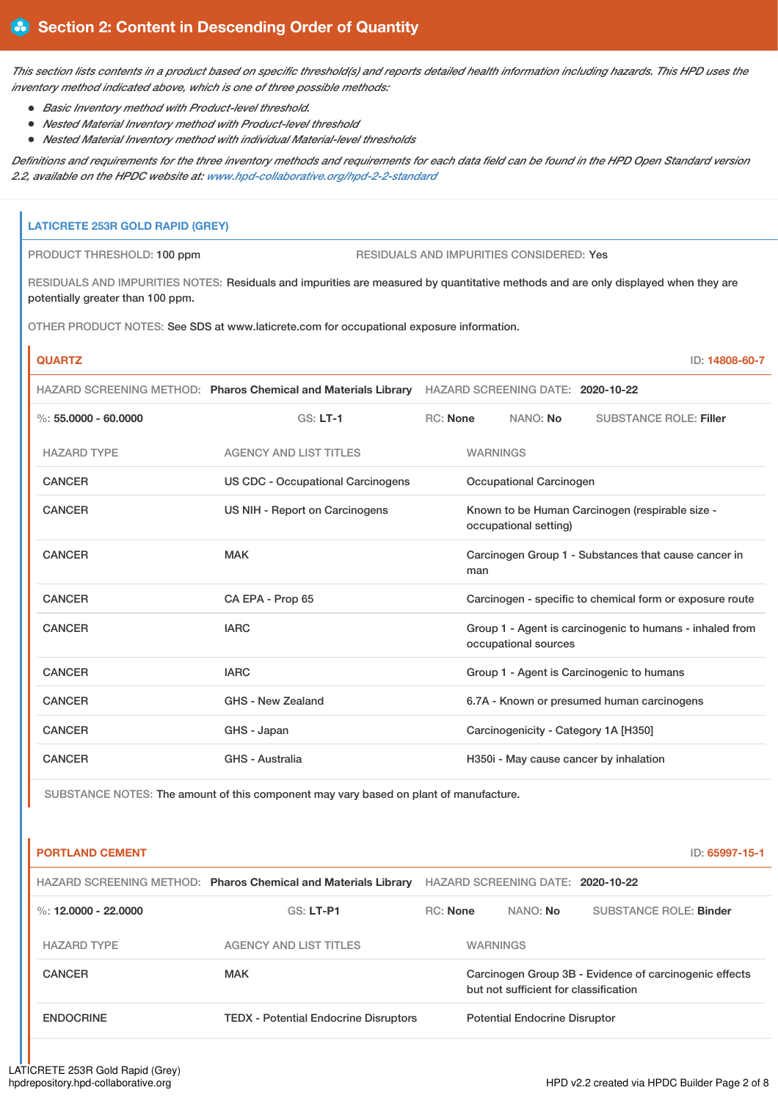This section lists contents in a product based on specific threshold(s) and reports detailed health information including hazards. This HPD uses the *inventory method indicated above, which is one of three possible methods:*

- *Basic Inventory method with Product-level threshold.*
- *Nested Material Inventory method with Product-level threshold*
- *Nested Material Inventory method with individual Material-level thresholds*

Definitions and requirements for the three inventory methods and requirements for each data field can be found in the HPD Open Standard version *2.2, available on the HPDC website at: [www.hpd-collaborative.org/hpd-2-2-standard](https://www.hpd-collaborative.org/hpd-2-2-standard)*

# **LATICRETE 253R GOLD RAPID (GREY)** PRODUCT THRESHOLD: 100 ppm RESIDUALS AND IMPURITIES CONSIDERED: Yes RESIDUALS AND IMPURITIES NOTES: Residuals and impurities are measured by quantitative methods and are only displayed when they are potentially greater than 100 ppm. OTHER PRODUCT NOTES: See SDS at www.laticrete.com for occupational exposure information. **QUARTZ** ID: **14808-60-7** HAZARD SCREENING METHOD: **Pharos Chemical and Materials Library** HAZARD SCREENING DATE: **2020-10-22** %: **55.0000 - 60.0000** GS: **LT-1** RC: **None** NANO: **No** SUBSTANCE ROLE: **Filler** HAZARD TYPE AGENCY AND LIST TITLES WARNINGS CANCER US CDC - Occupational Carcinogens Occupational Carcinogen CANCER US NIH - Report on Carcinogens Known to be Human Carcinogen (respirable size occupational setting) CANCER MAK MAK Carcinogen Group 1 - Substances that cause cancer in man CANCER CA EPA - Prop 65 Carcinogen - specific to chemical form or exposure route CANCER **IARC** IARC **GROUP 1** - Agent is carcinogenic to humans - inhaled from occupational sources CANCER **IARC** IARC **GROUP 1** - Agent is Carcinogenic to humans CANCER GHS - New Zealand 6.7A - Known or presumed human carcinogens CANCER GANCER GHS - Japan GHS - Japan Carcinogenicity - Category 1A [H350] CANCER GHS - Australia GHS - Australia H350i - May cause cancer by inhalation

SUBSTANCE NOTES: The amount of this component may vary based on plant of manufacture.

| <b>PORTLAND CEMENT</b> |                                                                |                 |                                       | ID: 65997-15-1                                         |
|------------------------|----------------------------------------------------------------|-----------------|---------------------------------------|--------------------------------------------------------|
|                        | HAZARD SCREENING METHOD: Pharos Chemical and Materials Library |                 | HAZARD SCREENING DATE: 2020-10-22     |                                                        |
| %: 12,0000 - 22,0000   | $GS: LT-PI$                                                    | <b>RC:</b> None | NANO: No                              | <b>SUBSTANCE ROLE: Binder</b>                          |
| <b>HAZARD TYPE</b>     | <b>AGENCY AND LIST TITLES</b>                                  |                 | <b>WARNINGS</b>                       |                                                        |
| <b>CANCER</b>          | <b>MAK</b>                                                     |                 | but not sufficient for classification | Carcinogen Group 3B - Evidence of carcinogenic effects |
| <b>ENDOCRINE</b>       | <b>TEDX</b> - Potential Endocrine Disruptors                   |                 | <b>Potential Endocrine Disruptor</b>  |                                                        |
|                        |                                                                |                 |                                       |                                                        |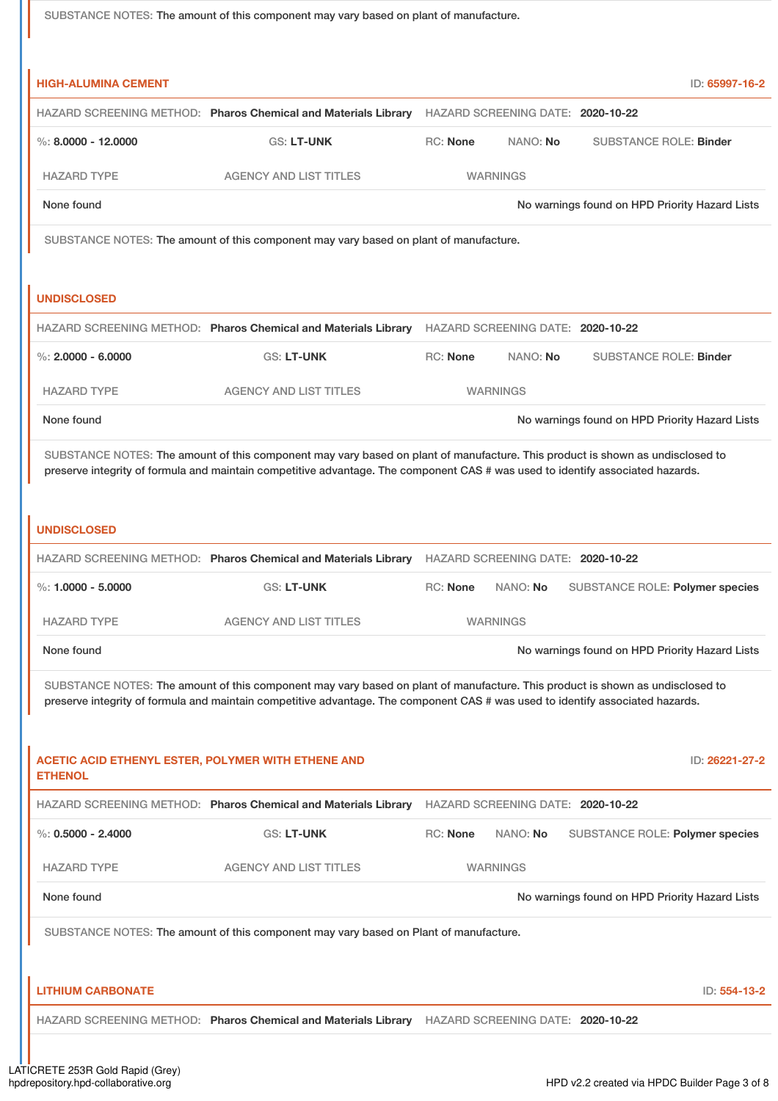SUBSTANCE NOTES: The amount of this component may vary based on plant of manufacture. **HIGH-ALUMINA CEMENT** ID: **65997-16-2** HAZARD SCREENING METHOD: **Pharos Chemical and Materials Library** HAZARD SCREENING DATE: **2020-10-22** %: **8.0000 - 12.0000** GS: **LT-UNK** RC: **None** NANO: **No** SUBSTANCE ROLE: **Binder** HAZARD TYPE AGENCY AND LIST TITLES WARNINGS None found Now the Priority Hazard Lists Company of the November of No warnings found on HPD Priority Hazard Lists SUBSTANCE NOTES: The amount of this component may vary based on plant of manufacture. **UNDISCLOSED** HAZARD SCREENING METHOD: **Pharos Chemical and Materials Library** HAZARD SCREENING DATE: **2020-10-22** %: **2.0000 - 6.0000** GS: **LT-UNK** RC: **None** NANO: **No** SUBSTANCE ROLE: **Binder** HAZARD TYPE AGENCY AND LIST TITLES WARNINGS None found Now the Priority Hazard Lists and No warnings found on HPD Priority Hazard Lists SUBSTANCE NOTES: The amount of this component may vary based on plant of manufacture. This product is shown as undisclosed to preserve integrity of formula and maintain competitive advantage. The component CAS # was used to identify associated hazards. **UNDISCLOSED** HAZARD SCREENING METHOD: **Pharos Chemical and Materials Library** HAZARD SCREENING DATE: **2020-10-22** %: **1.0000 - 5.0000** GS: **LT-UNK** RC: **None** NANO: **No** SUBSTANCE ROLE: **Polymer species** HAZARD TYPE AGENCY AND LIST TITLES WARNINGS None found Now the Priority Hazard Lists of the November of No warnings found on HPD Priority Hazard Lists SUBSTANCE NOTES: The amount of this component may vary based on plant of manufacture. This product is shown as undisclosed to preserve integrity of formula and maintain competitive advantage. The component CAS # was used to identify associated hazards. **ACETIC ACID ETHENYL ESTER, POLYMER WITH ETHENE AND ETHENOL** ID: **26221-27-2** HAZARD SCREENING METHOD: **Pharos Chemical and Materials Library** HAZARD SCREENING DATE: **2020-10-22** %: **0.5000 - 2.4000** GS: **LT-UNK** RC: **None** NANO: **No** SUBSTANCE ROLE: **Polymer species** HAZARD TYPE AGENCY AND LIST TITLES WARNINGS None found Now the Priority Hazard Lists and No warnings found on HPD Priority Hazard Lists SUBSTANCE NOTES: The amount of this component may vary based on Plant of manufacture. **LITHIUM CARBONATE** ID: **554-13-2** HAZARD SCREENING METHOD: **Pharos Chemical and Materials Library** HAZARD SCREENING DATE: **2020-10-22**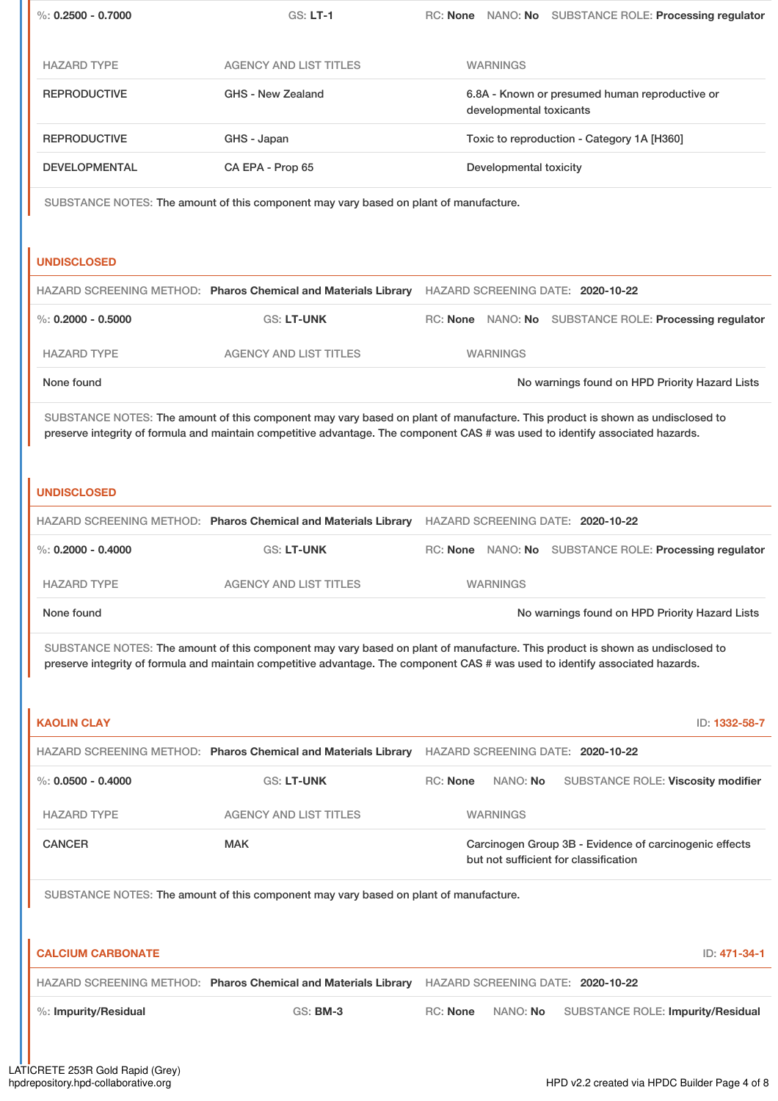|                          | <b>GS: LT-1</b>                                                                                                                                                                                                                                                 |                                                                           |                 | RC: None NANO: No SUBSTANCE ROLE: Processing regulator                                          |
|--------------------------|-----------------------------------------------------------------------------------------------------------------------------------------------------------------------------------------------------------------------------------------------------------------|---------------------------------------------------------------------------|-----------------|-------------------------------------------------------------------------------------------------|
| <b>HAZARD TYPE</b>       | <b>AGENCY AND LIST TITLES</b>                                                                                                                                                                                                                                   |                                                                           | <b>WARNINGS</b> |                                                                                                 |
| <b>REPRODUCTIVE</b>      | <b>GHS - New Zealand</b>                                                                                                                                                                                                                                        | 6.8A - Known or presumed human reproductive or<br>developmental toxicants |                 |                                                                                                 |
| <b>REPRODUCTIVE</b>      | GHS - Japan                                                                                                                                                                                                                                                     | Toxic to reproduction - Category 1A [H360]                                |                 |                                                                                                 |
| <b>DEVELOPMENTAL</b>     | CA EPA - Prop 65                                                                                                                                                                                                                                                | Developmental toxicity                                                    |                 |                                                                                                 |
|                          | SUBSTANCE NOTES: The amount of this component may vary based on plant of manufacture.                                                                                                                                                                           |                                                                           |                 |                                                                                                 |
|                          |                                                                                                                                                                                                                                                                 |                                                                           |                 |                                                                                                 |
| <b>UNDISCLOSED</b>       |                                                                                                                                                                                                                                                                 |                                                                           |                 |                                                                                                 |
|                          | HAZARD SCREENING METHOD: Pharos Chemical and Materials Library HAZARD SCREENING DATE: 2020-10-22                                                                                                                                                                |                                                                           |                 |                                                                                                 |
| $\%$ : 0.2000 - 0.5000   | <b>GS: LT-UNK</b>                                                                                                                                                                                                                                               |                                                                           |                 | RC: None NANO: No SUBSTANCE ROLE: Processing regulator                                          |
| <b>HAZARD TYPE</b>       | <b>AGENCY AND LIST TITLES</b>                                                                                                                                                                                                                                   |                                                                           | <b>WARNINGS</b> |                                                                                                 |
| None found               |                                                                                                                                                                                                                                                                 |                                                                           |                 | No warnings found on HPD Priority Hazard Lists                                                  |
|                          | SUBSTANCE NOTES: The amount of this component may vary based on plant of manufacture. This product is shown as undisclosed to<br>preserve integrity of formula and maintain competitive advantage. The component CAS # was used to identify associated hazards. |                                                                           |                 |                                                                                                 |
| <b>UNDISCLOSED</b>       |                                                                                                                                                                                                                                                                 |                                                                           |                 |                                                                                                 |
|                          | HAZARD SCREENING METHOD: Pharos Chemical and Materials Library HAZARD SCREENING DATE: 2020-10-22                                                                                                                                                                |                                                                           |                 |                                                                                                 |
| $\%$ : 0.2000 - 0.4000   | <b>GS: LT-UNK</b>                                                                                                                                                                                                                                               |                                                                           |                 | RC: None NANO: No SUBSTANCE ROLE: Processing regulator                                          |
| <b>HAZARD TYPE</b>       | <b>AGENCY AND LIST TITLES</b>                                                                                                                                                                                                                                   |                                                                           | <b>WARNINGS</b> |                                                                                                 |
|                          |                                                                                                                                                                                                                                                                 |                                                                           |                 | No warnings found on HPD Priority Hazard Lists                                                  |
| None found               |                                                                                                                                                                                                                                                                 |                                                                           |                 |                                                                                                 |
|                          | SUBSTANCE NOTES: The amount of this component may vary based on plant of manufacture. This product is shown as undisclosed to<br>preserve integrity of formula and maintain competitive advantage. The component CAS # was used to identify associated hazards. |                                                                           |                 |                                                                                                 |
| <b>KAOLIN CLAY</b>       |                                                                                                                                                                                                                                                                 |                                                                           |                 | ID: 1332-58-7                                                                                   |
|                          | HAZARD SCREENING METHOD: Pharos Chemical and Materials Library                                                                                                                                                                                                  |                                                                           |                 | HAZARD SCREENING DATE: 2020-10-22                                                               |
| $\%$ : 0.0500 - 0.4000   | <b>GS: LT-UNK</b>                                                                                                                                                                                                                                               | <b>RC: None</b>                                                           | NANO: No        | SUBSTANCE ROLE: Viscosity modifier                                                              |
| <b>HAZARD TYPE</b>       | <b>AGENCY AND LIST TITLES</b>                                                                                                                                                                                                                                   |                                                                           | <b>WARNINGS</b> |                                                                                                 |
| <b>CANCER</b>            | <b>MAK</b>                                                                                                                                                                                                                                                      |                                                                           |                 | Carcinogen Group 3B - Evidence of carcinogenic effects<br>but not sufficient for classification |
|                          | SUBSTANCE NOTES: The amount of this component may vary based on plant of manufacture.                                                                                                                                                                           |                                                                           |                 |                                                                                                 |
| <b>CALCIUM CARBONATE</b> |                                                                                                                                                                                                                                                                 |                                                                           |                 | ID: 471-34-1                                                                                    |
|                          | HAZARD SCREENING METHOD: Pharos Chemical and Materials Library                                                                                                                                                                                                  |                                                                           |                 | HAZARD SCREENING DATE: 2020-10-22                                                               |
| %: Impurity/Residual     | <b>GS: BM-3</b>                                                                                                                                                                                                                                                 | <b>RC: None</b>                                                           | NANO: No        | <b>SUBSTANCE ROLE: Impurity/Residual</b>                                                        |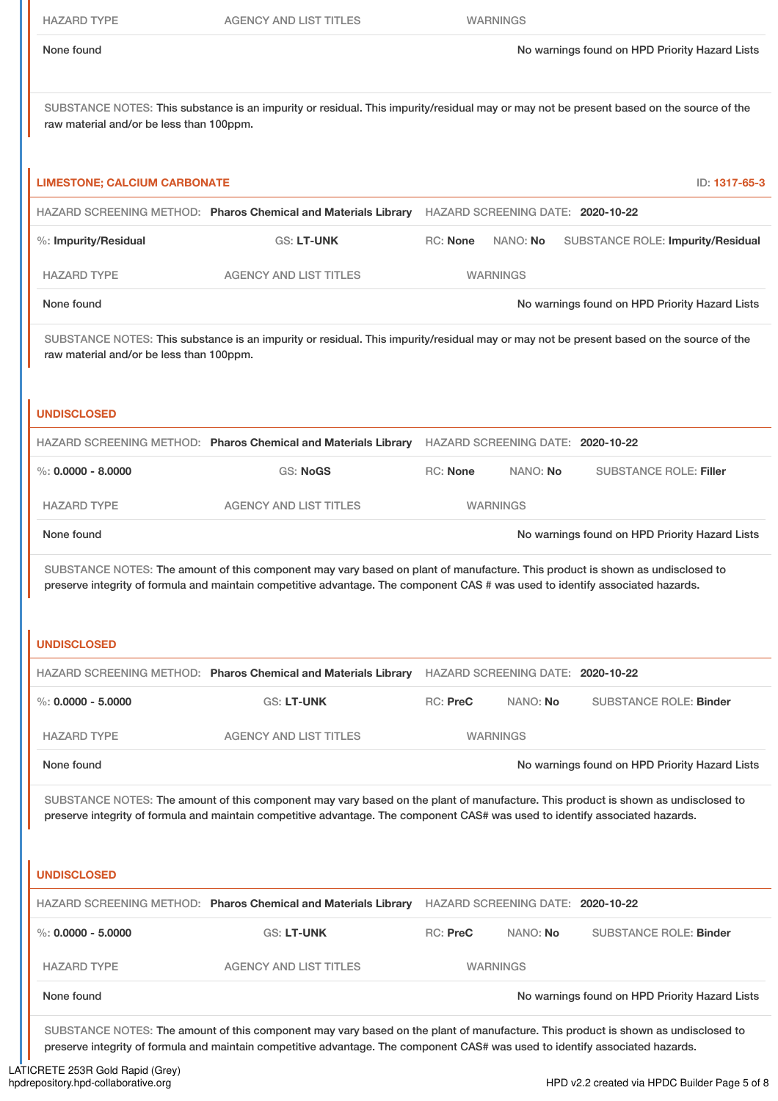SUBSTANCE NOTES: This substance is an impurity or residual. This impurity/residual may or may not be present based on the source of the raw material and/or be less than 100ppm.

| <b>LIMESTONE; CALCIUM CARBONATE</b>      |                                                                                                                                                                                                                                                                    |                 |                                   | ID: 1317-65-3                                  |
|------------------------------------------|--------------------------------------------------------------------------------------------------------------------------------------------------------------------------------------------------------------------------------------------------------------------|-----------------|-----------------------------------|------------------------------------------------|
|                                          | HAZARD SCREENING METHOD: Pharos Chemical and Materials Library HAZARD SCREENING DATE: 2020-10-22                                                                                                                                                                   |                 |                                   |                                                |
| %: Impurity/Residual                     | GS: LT-UNK                                                                                                                                                                                                                                                         | RC: None        | NANO: No                          | <b>SUBSTANCE ROLE: Impurity/Residual</b>       |
| <b>HAZARD TYPE</b>                       | <b>AGENCY AND LIST TITLES</b>                                                                                                                                                                                                                                      |                 | <b>WARNINGS</b>                   |                                                |
| None found                               |                                                                                                                                                                                                                                                                    |                 |                                   | No warnings found on HPD Priority Hazard Lists |
| raw material and/or be less than 100ppm. | SUBSTANCE NOTES: This substance is an impurity or residual. This impurity/residual may or may not be present based on the source of the                                                                                                                            |                 |                                   |                                                |
| <b>UNDISCLOSED</b>                       |                                                                                                                                                                                                                                                                    |                 |                                   |                                                |
|                                          | HAZARD SCREENING METHOD: Pharos Chemical and Materials Library                                                                                                                                                                                                     |                 | HAZARD SCREENING DATE: 2020-10-22 |                                                |
| $\%$ : 0.0000 - 8.0000                   | <b>GS: NoGS</b>                                                                                                                                                                                                                                                    | <b>RC: None</b> | NANO: No                          | <b>SUBSTANCE ROLE: Filler</b>                  |
| <b>HAZARD TYPE</b>                       | <b>AGENCY AND LIST TITLES</b>                                                                                                                                                                                                                                      |                 | <b>WARNINGS</b>                   |                                                |
| None found                               |                                                                                                                                                                                                                                                                    |                 |                                   | No warnings found on HPD Priority Hazard Lists |
| <b>UNDISCLOSED</b>                       | HAZARD SCREENING METHOD: Pharos Chemical and Materials Library HAZARD SCREENING DATE: 2020-10-22                                                                                                                                                                   |                 |                                   |                                                |
| $\%$ : 0.0000 - 5.0000                   | GS: LT-UNK                                                                                                                                                                                                                                                         | RC: PreC        | NANO: No                          | <b>SUBSTANCE ROLE: Binder</b>                  |
| <b>HAZARD TYPE</b>                       | <b>AGENCY AND LIST TITLES</b>                                                                                                                                                                                                                                      |                 | <b>WARNINGS</b>                   |                                                |
| None found                               |                                                                                                                                                                                                                                                                    |                 |                                   | No warnings found on HPD Priority Hazard Lists |
|                                          | SUBSTANCE NOTES: The amount of this component may vary based on the plant of manufacture. This product is shown as undisclosed to<br>preserve integrity of formula and maintain competitive advantage. The component CAS# was used to identify associated hazards. |                 |                                   |                                                |
| <b>UNDISCLOSED</b>                       |                                                                                                                                                                                                                                                                    |                 |                                   |                                                |
|                                          | HAZARD SCREENING METHOD: Pharos Chemical and Materials Library                                                                                                                                                                                                     |                 | HAZARD SCREENING DATE: 2020-10-22 |                                                |
| %: $0.0000 - 5.0000$                     | GS: LT-UNK                                                                                                                                                                                                                                                         | RC: PreC        | NANO: No                          | <b>SUBSTANCE ROLE: Binder</b>                  |
| <b>HAZARD TYPE</b>                       | <b>AGENCY AND LIST TITLES</b>                                                                                                                                                                                                                                      |                 | <b>WARNINGS</b>                   |                                                |
| None found                               |                                                                                                                                                                                                                                                                    |                 |                                   | No warnings found on HPD Priority Hazard Lists |
|                                          | SUBSTANCE NOTES: The amount of this component may vary based on the plant of manufacture. This product is shown as undisclosed to<br>preserve integrity of formula and maintain competitive advantage. The component CAS# was used to identify associated hazards. |                 |                                   |                                                |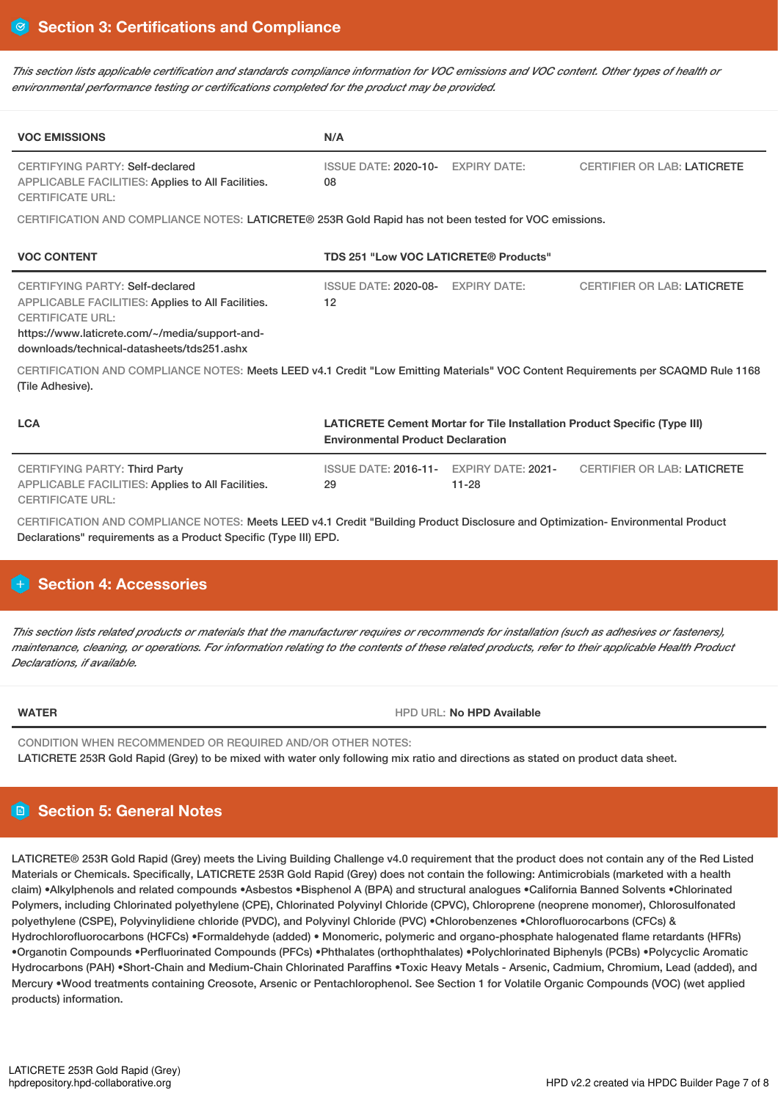This section lists applicable certification and standards compliance information for VOC emissions and VOC content. Other types of health or *environmental performance testing or certifications completed for the product may be provided.*

| <b>VOC EMISSIONS</b>                                                                                                                                                                                            | N/A                                                                                                                          |                                        |                                    |  |
|-----------------------------------------------------------------------------------------------------------------------------------------------------------------------------------------------------------------|------------------------------------------------------------------------------------------------------------------------------|----------------------------------------|------------------------------------|--|
| <b>CERTIFYING PARTY: Self-declared</b><br><b>APPLICABLE FACILITIES: Applies to All Facilities.</b><br><b>CERTIFICATE URL:</b>                                                                                   | <b>ISSUE DATE: 2020-10-</b><br>08                                                                                            | <b>EXPIRY DATE:</b>                    | <b>CERTIFIER OR LAB: LATICRETE</b> |  |
| CERTIFICATION AND COMPLIANCE NOTES: LATICRETE® 253R Gold Rapid has not been tested for VOC emissions.                                                                                                           |                                                                                                                              |                                        |                                    |  |
| <b>VOC CONTENT</b>                                                                                                                                                                                              | TDS 251 "Low VOC LATICRETE® Products"                                                                                        |                                        |                                    |  |
| CERTIFYING PARTY: Self-declared<br>APPLICABLE FACILITIES: Applies to All Facilities.<br><b>CERTIFICATE URL:</b><br>https://www.laticrete.com/~/media/support-and-<br>downloads/technical-datasheets/tds251.ashx | ISSUE DATE: 2020-08- EXPIRY DATE:<br>12                                                                                      |                                        | <b>CERTIFIER OR LAB: LATICRETE</b> |  |
| CERTIFICATION AND COMPLIANCE NOTES: Meets LEED v4.1 Credit "Low Emitting Materials" VOC Content Requirements per SCAQMD Rule 1168<br>(Tile Adhesive).                                                           |                                                                                                                              |                                        |                                    |  |
| <b>LCA</b>                                                                                                                                                                                                      | <b>LATICRETE Cement Mortar for Tile Installation Product Specific (Type III)</b><br><b>Environmental Product Declaration</b> |                                        |                                    |  |
| <b>CERTIFYING PARTY: Third Party</b><br>APPLICABLE FACILITIES: Applies to All Facilities.<br><b>CERTIFICATE URL:</b>                                                                                            | <b>ISSUE DATE: 2016-11-</b><br>29                                                                                            | <b>EXPIRY DATE: 2021-</b><br>$11 - 28$ | <b>CERTIFIER OR LAB: LATICRETE</b> |  |
| CERTIFICATION AND COMPLIANCE NOTES: Meets LEED v4.1 Credit "Building Product Disclosure and Optimization- Environmental Product<br>Declarations" requirements as a Product Specific (Type III) EPD.             |                                                                                                                              |                                        |                                    |  |

## **Section 4: Accessories**

This section lists related products or materials that the manufacturer requires or recommends for installation (such as adhesives or fasteners), maintenance, cleaning, or operations. For information relating to the contents of these related products, refer to their applicable Health Product *Declarations, if available.*

**WATER** HPD URL: **No HPD Available**

CONDITION WHEN RECOMMENDED OR REQUIRED AND/OR OTHER NOTES: LATICRETE 253R Gold Rapid (Grey) to be mixed with water only following mix ratio and directions as stated on product data sheet.

## **Section 5: General Notes**

LATICRETE® 253R Gold Rapid (Grey) meets the Living Building Challenge v4.0 requirement that the product does not contain any of the Red Listed Materials or Chemicals. Specifically, LATICRETE 253R Gold Rapid (Grey) does not contain the following: Antimicrobials (marketed with a health claim) •Alkylphenols and related compounds •Asbestos •Bisphenol A (BPA) and structural analogues •California Banned Solvents •Chlorinated Polymers, including Chlorinated polyethylene (CPE), Chlorinated Polyvinyl Chloride (CPVC), Chloroprene (neoprene monomer), Chlorosulfonated polyethylene (CSPE), Polyvinylidiene chloride (PVDC), and Polyvinyl Chloride (PVC) •Chlorobenzenes •Chlorofluorocarbons (CFCs) & Hydrochlorofluorocarbons (HCFCs) •Formaldehyde (added) • Monomeric, polymeric and organo-phosphate halogenated flame retardants (HFRs) •Organotin Compounds •Perfluorinated Compounds (PFCs) •Phthalates (orthophthalates) •Polychlorinated Biphenyls (PCBs) •Polycyclic Aromatic Hydrocarbons (PAH) •Short-Chain and Medium-Chain Chlorinated Paraffins •Toxic Heavy Metals - Arsenic, Cadmium, Chromium, Lead (added), and Mercury •Wood treatments containing Creosote, Arsenic or Pentachlorophenol. See Section 1 for Volatile Organic Compounds (VOC) (wet applied products) information.